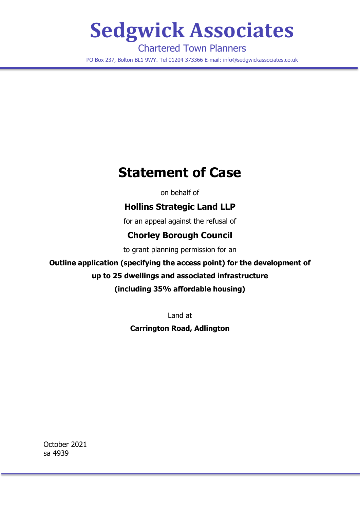# **Sedgwick Associates**

Chartered Town Planners PO Box 237, Bolton BL1 9WY. Tel 01204 373366 E-mail: info@sedgwickassociates.co.uk

# **Statement of Case**

on behalf of

# **Hollins Strategic Land LLP**

for an appeal against the refusal of

# **Chorley Borough Council**

to grant planning permission for an

# **Outline application (specifying the access point) for the development of**

# **up to 25 dwellings and associated infrastructure**

# **(including 35% affordable housing)**

Land at

# **Carrington Road, Adlington**

October 2021 sa 4939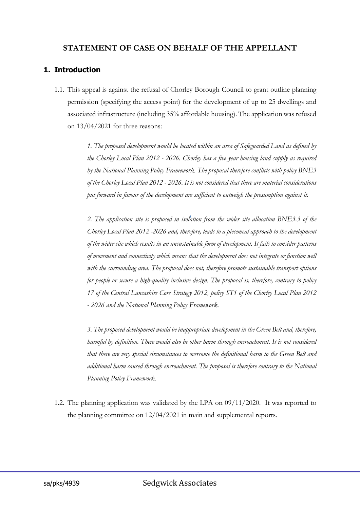#### **STATEMENT OF CASE ON BEHALF OF THE APPELLANT**

#### **1. Introduction**

1.1. This appeal is against the refusal of Chorley Borough Council to grant outline planning permission (specifying the access point) for the development of up to 25 dwellings and associated infrastructure (including 35% affordable housing). The application was refused on 13/04/2021 for three reasons:

> *1. The proposed development would be located within an area of Safeguarded Land as defined by the Chorley Local Plan 2012 - 2026. Chorley has a five year housing land supply as required by the National Planning Policy Framework. The proposal therefore conflicts with policy BNE3 of the Chorley Local Plan 2012 - 2026. It is not considered that there are material considerations put forward in favour of the development are sufficient to outweigh the presumption against it.*

> *2. The application site is proposed in isolation from the wider site allocation BNE3.3 of the Chorley Local Plan 2012 -2026 and, therefore, leads to a piecemeal approach to the development of the wider site which results in an unsustainable form of development. It fails to consider patterns of movement and connectivity which means that the development does not integrate or function well with the surrounding area. The proposal does not, therefore promote sustainable transport options for people or secure a high-quality inclusive design. The proposal is, therefore, contrary to policy 17 of the Central Lancashire Core Strategy 2012, policy ST1 of the Chorley Local Plan 2012 - 2026 and the National Planning Policy Framework.*

> *3. The proposed development would be inappropriate development in the Green Belt and, therefore, harmful by definition. There would also be other harm through encroachment. It is not considered that there are very special circumstances to overcome the definitional harm to the Green Belt and additional harm caused through encroachment. The proposal is therefore contrary to the National Planning Policy Framework.*

1.2. The planning application was validated by the LPA on 09/11/2020. It was reported to the planning committee on 12/04/2021 in main and supplemental reports.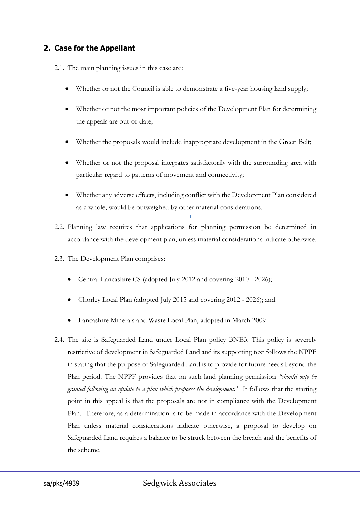#### **2. Case for the Appellant**

2.1. The main planning issues in this case are:

- Whether or not the Council is able to demonstrate a five-year housing land supply;
- Whether or not the most important policies of the Development Plan for determining the appeals are out-of-date;
- Whether the proposals would include inappropriate development in the Green Belt;
- Whether or not the proposal integrates satisfactorily with the surrounding area with particular regard to patterns of movement and connectivity;
- Whether any adverse effects, including conflict with the Development Plan considered as a whole, would be outweighed by other material considerations.
- 2.2. Planning law requires that applications for planning permission be determined in accordance with the development plan, unless material considerations indicate otherwise.
- 2.3. The Development Plan comprises:
	- Central Lancashire CS (adopted July 2012 and covering 2010 2026);
	- Chorley Local Plan (adopted July 2015 and covering 2012 2026); and
	- Lancashire Minerals and Waste Local Plan, adopted in March 2009
- 2.4. The site is Safeguarded Land under Local Plan policy BNE3. This policy is severely restrictive of development in Safeguarded Land and its supporting text follows the NPPF in stating that the purpose of Safeguarded Land is to provide for future needs beyond the Plan period. The NPPF provides that on such land planning permission *"should only be granted following an update to a plan which proposes the development."* It follows that the starting point in this appeal is that the proposals are not in compliance with the Development Plan. Therefore, as a determination is to be made in accordance with the Development Plan unless material considerations indicate otherwise, a proposal to develop on Safeguarded Land requires a balance to be struck between the breach and the benefits of the scheme.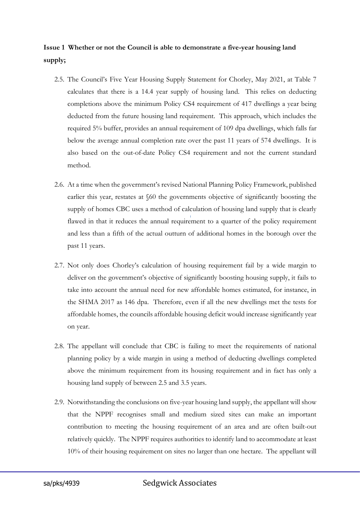# **Issue 1 Whether or not the Council is able to demonstrate a five-year housing land supply;**

- 2.5. The Council's Five Year Housing Supply Statement for Chorley, May 2021, at Table 7 calculates that there is a 14.4 year supply of housing land. This relies on deducting completions above the minimum Policy CS4 requirement of 417 dwellings a year being deducted from the future housing land requirement. This approach, which includes the required 5% buffer, provides an annual requirement of 109 dpa dwellings, which falls far below the average annual completion rate over the past 11 years of 574 dwellings. It is also based on the out-of-date Policy CS4 requirement and not the current standard method.
- 2.6. At a time when the government's revised National Planning Policy Framework, published earlier this year, restates at §60 the governments objective of significantly boosting the supply of homes CBC uses a method of calculation of housing land supply that is clearly flawed in that it reduces the annual requirement to a quarter of the policy requirement and less than a fifth of the actual outturn of additional homes in the borough over the past 11 years.
- 2.7. Not only does Chorley's calculation of housing requirement fail by a wide margin to deliver on the government's objective of significantly boosting housing supply, it fails to take into account the annual need for new affordable homes estimated, for instance, in the SHMA 2017 as 146 dpa. Therefore, even if all the new dwellings met the tests for affordable homes, the councils affordable housing deficit would increase significantly year on year.
- 2.8. The appellant will conclude that CBC is failing to meet the requirements of national planning policy by a wide margin in using a method of deducting dwellings completed above the minimum requirement from its housing requirement and in fact has only a housing land supply of between 2.5 and 3.5 years.
- 2.9. Notwithstanding the conclusions on five-year housing land supply, the appellant will show that the NPPF recognises small and medium sized sites can make an important contribution to meeting the housing requirement of an area and are often built-out relatively quickly. The NPPF requires authorities to identify land to accommodate at least 10% of their housing requirement on sites no larger than one hectare. The appellant will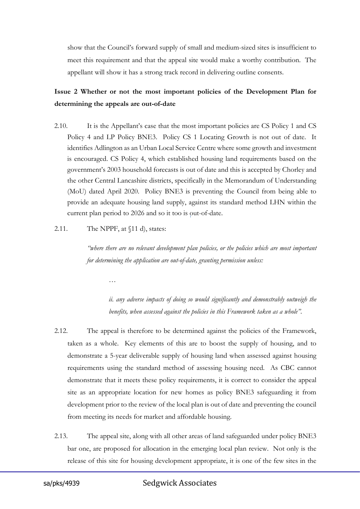show that the Council's forward supply of small and medium-sized sites is insufficient to meet this requirement and that the appeal site would make a worthy contribution. The appellant will show it has a strong track record in delivering outline consents.

# **Issue 2 Whether or not the most important policies of the Development Plan for determining the appeals are out-of-date**

- 2.10. It is the Appellant's case that the most important policies are CS Policy 1 and CS Policy 4 and LP Policy BNE3. Policy CS 1 Locating Growth is not out of date. It identifies Adlington as an Urban Local Service Centre where some growth and investment is encouraged. CS Policy 4, which established housing land requirements based on the government's 2003 household forecasts is out of date and this is accepted by Chorley and the other Central Lancashire districts, specifically in the Memorandum of Understanding (MoU) dated April 2020. Policy BNE3 is preventing the Council from being able to provide an adequate housing land supply, against its standard method LHN within the current plan period to 2026 and so it too is out-of-date.
- 2.11. The NPPF, at  $\{11 \}$ , states:

*…*

*"where there are no relevant development plan policies, or the policies which are most important for determining the application are out-of-date, granting permission unless:*

*ii. any adverse impacts of doing so would significantly and demonstrably outweigh the benefits, when assessed against the policies in this Framework taken as a whole".*

- 2.12. The appeal is therefore to be determined against the policies of the Framework, taken as a whole. Key elements of this are to boost the supply of housing, and to demonstrate a 5-year deliverable supply of housing land when assessed against housing requirements using the standard method of assessing housing need. As CBC cannot demonstrate that it meets these policy requirements, it is correct to consider the appeal site as an appropriate location for new homes as policy BNE3 safeguarding it from development prior to the review of the local plan is out of date and preventing the council from meeting its needs for market and affordable housing.
- 2.13. The appeal site, along with all other areas of land safeguarded under policy BNE3 bar one, are proposed for allocation in the emerging local plan review. Not only is the release of this site for housing development appropriate, it is one of the few sites in the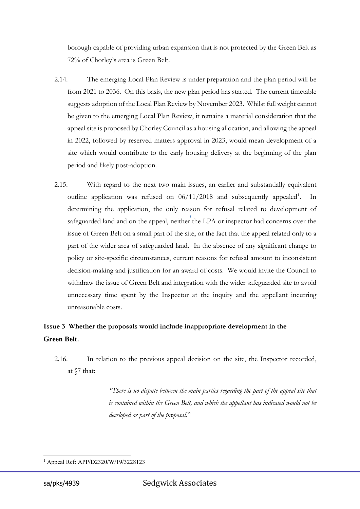borough capable of providing urban expansion that is not protected by the Green Belt as 72% of Chorley's area is Green Belt.

- 2.14. The emerging Local Plan Review is under preparation and the plan period will be from 2021 to 2036. On this basis, the new plan period has started. The current timetable suggests adoption of the Local Plan Review by November 2023. Whilst full weight cannot be given to the emerging Local Plan Review, it remains a material consideration that the appeal site is proposed by Chorley Council as a housing allocation, and allowing the appeal in 2022, followed by reserved matters approval in 2023, would mean development of a site which would contribute to the early housing delivery at the beginning of the plan period and likely post-adoption.
- 2.15. With regard to the next two main issues, an earlier and substantially equivalent outline application was refused on 06/[1](#page-5-0)1/2018 and subsequently appealed<sup>1</sup>. In determining the application, the only reason for refusal related to development of safeguarded land and on the appeal, neither the LPA or inspector had concerns over the issue of Green Belt on a small part of the site, or the fact that the appeal related only to a part of the wider area of safeguarded land. In the absence of any significant change to policy or site-specific circumstances, current reasons for refusal amount to inconsistent decision-making and justification for an award of costs. We would invite the Council to withdraw the issue of Green Belt and integration with the wider safeguarded site to avoid unnecessary time spent by the Inspector at the inquiry and the appellant incurring unreasonable costs.

# **Issue 3 Whether the proposals would include inappropriate development in the Green Belt.**

2.16. In relation to the previous appeal decision on the site, the Inspector recorded, at §7 that:

> *"There is no dispute between the main parties regarding the part of the appeal site that is contained within the Green Belt, and which the appellant has indicated would not be developed as part of the proposal*."

<span id="page-5-0"></span><sup>1</sup> Appeal Ref: APP/D2320/W/19/3228123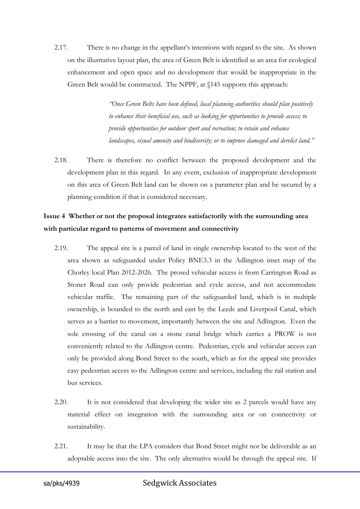2.17. There is no change in the appellant's intentions with regard to the site. As shown on the illustrative layout plan, the area of Green Belt is identified as an area for ecological enhancement and open space and no development that would be inappropriate in the Green Belt would be constructed. The NPPF, at §145 supports this approach:

> *"Once Green Belts have been defined, local planning authorities should plan positively to enhance their beneficial use, such as looking for opportunities to provide access; to provide opportunities for outdoor sport and recreation; to retain and enhance landscapes, visual amenity and biodiversity; or to improve damaged and derelict land."*

2.18. There is therefore no conflict between the proposed development and the development plan in this regard. In any event, exclusion of inappropriate development on this area of Green Belt land can be shown on a parameter plan and be secured by a planning condition if that is considered necessary.

# **Issue 4 Whether or not the proposal integrates satisfactorily with the surrounding area with particular regard to patterns of movement and connectivity**

- 2.19. The appeal site is a parcel of land in single ownership located to the west of the area shown as safeguarded under Policy BNE3.3 in the Adlington inset map of the Chorley local Plan 2012-2026. The prosed vehicular access is from Carrington Road as Stoner Road can only provide pedestrian and cycle access, and not accommodate vehicular traffic. The remaining part of the safeguarded land, which is in multiple ownership, is bounded to the north and east by the Leeds and Liverpool Canal, which serves as a barrier to movement, importantly between the site and Adlington. Even the sole crossing of the canal on a stone canal bridge which carries a PROW is not conveniently related to the Adlington centre. Pedestrian, cycle and vehicular access can only be provided along Bond Street to the south, which as for the appeal site provides easy pedestrian access to the Adlington centre and services, including the rail station and bus services.
- 2.20. It is not considered that developing the wider site as 2 parcels would have any material effect on integration with the surrounding area or on connectivity or sustainability.
- 2.21. It may be that the LPA considers that Bond Street might not be deliverable as an adoptable access into the site. The only alternative would be through the appeal site. If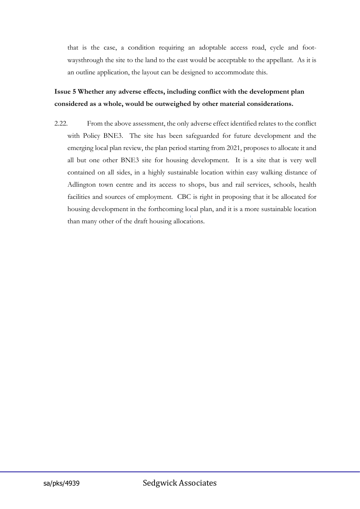that is the case, a condition requiring an adoptable access road, cycle and footwaysthrough the site to the land to the east would be acceptable to the appellant. As it is an outline application, the layout can be designed to accommodate this.

# **Issue 5 Whether any adverse effects, including conflict with the development plan considered as a whole, would be outweighed by other material considerations.**

2.22. From the above assessment, the only adverse effect identified relates to the conflict with Policy BNE3. The site has been safeguarded for future development and the emerging local plan review, the plan period starting from 2021, proposes to allocate it and all but one other BNE3 site for housing development. It is a site that is very well contained on all sides, in a highly sustainable location within easy walking distance of Adlington town centre and its access to shops, bus and rail services, schools, health facilities and sources of employment. CBC is right in proposing that it be allocated for housing development in the forthcoming local plan, and it is a more sustainable location than many other of the draft housing allocations.